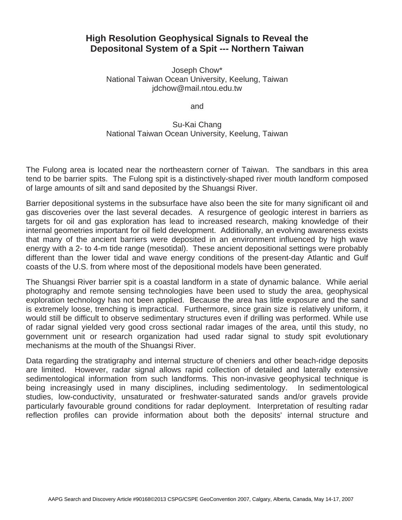## **High Resolution Geophysical Signals to Reveal the Depositonal System of a Spit --- Northern Taiwan**

Joseph Chow\* National Taiwan Ocean University, Keelung, Taiwan jdchow@mail.ntou.edu.tw

and

## Su-Kai Chang National Taiwan Ocean University, Keelung, Taiwan

The Fulong area is located near the northeastern corner of Taiwan. The sandbars in this area tend to be barrier spits. The Fulong spit is a distinctively-shaped river mouth landform composed of large amounts of silt and sand deposited by the Shuangsi River.

Barrier depositional systems in the subsurface have also been the site for many significant oil and gas discoveries over the last several decades. A resurgence of geologic interest in barriers as targets for oil and gas exploration has lead to increased research, making knowledge of their internal geometries important for oil field development. Additionally, an evolving awareness exists that many of the ancient barriers were deposited in an environment influenced by high wave energy with a 2- to 4-m tide range (mesotidal). These ancient depositional settings were probably different than the lower tidal and wave energy conditions of the present-day Atlantic and Gulf coasts of the U.S. from where most of the depositional models have been generated.

The Shuangsi River barrier spit is a coastal landform in a state of dynamic balance. While aerial photography and remote sensing technologies have been used to study the area, geophysical exploration technology has not been applied. Because the area has little exposure and the sand is extremely loose, trenching is impractical. Furthermore, since grain size is relatively uniform, it would still be difficult to observe sedimentary structures even if drilling was performed. While use of radar signal yielded very good cross sectional radar images of the area, until this study, no government unit or research organization had used radar signal to study spit evolutionary mechanisms at the mouth of the Shuangsi River.

Data regarding the stratigraphy and internal structure of cheniers and other beach-ridge deposits are limited. However, radar signal allows rapid collection of detailed and laterally extensive sedimentological information from such landforms. This non-invasive geophysical technique is being increasingly used in many disciplines, including sedimentology. In sedimentological studies, low-conductivity, unsaturated or freshwater-saturated sands and/or gravels provide particularly favourable ground conditions for radar deployment. Interpretation of resulting radar reflection profiles can provide information about both the deposits' internal structure and